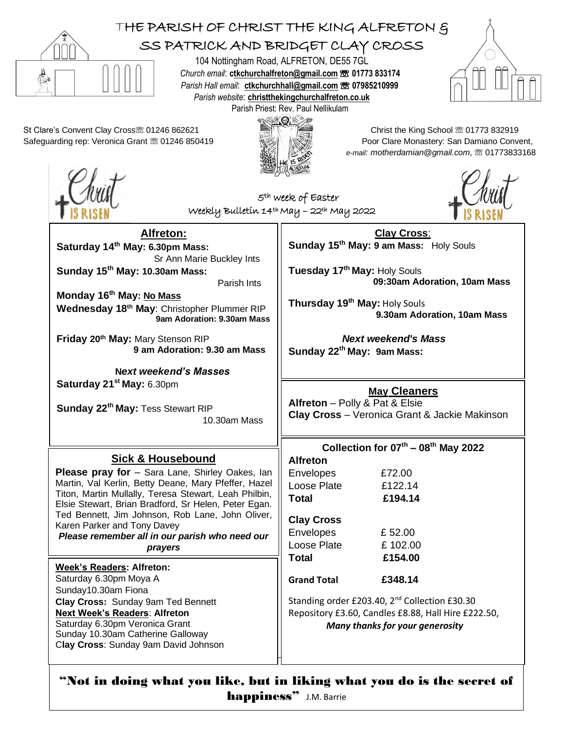

## THE PARISH OF CHRIST THE KING ALFRETON & SS PATRICK AND BRIDGET CLAY CROSS

104 Nottingham Road, ALFRETON, DE55 7GL *Church email*: **[ctkchurchalfreton@gmail.com](mailto:tkchurchalfreton@gmail.com%20☏%2001773%20833174)** ☏ **01773 833174** *Parish Hall email*: **[ctkchurchhall@gmail.com](mailto:ctkchurchhall@gmail.com)** ☏ **07985210999** *Parish website*: **christthekingchurchalfreton.co.uk** Parish Priest: Rev. Paul Nellikulam



St Clare's Convent Clay Crossto 01246 862621 Christ the King School to 01773 832919 Safeguarding rep: Veronica Grant  $\textcircled{8} 01246 850419$  Poor Clare Monastery: San Damiano Convent,

**Alfreton:**

**Wednesday 18th May**: Christopher Plummer RIP

**N***ext weekend's Masses*

**Sick & Housebound Please pray for** – Sara Lane, Shirley Oakes, Ian Martin, Val Kerlin, Betty Deane, Mary Pfeffer, Hazel Titon, Martin Mullally, Teresa Stewart, Leah Philbin, Elsie Stewart, Brian Bradford, Sr Helen, Peter Egan. Ted Bennett, Jim Johnson, Rob Lane, John Oliver,

*Please remember all in our parish who need our prayers*

Sr Ann Marie Buckley Ints

**9am Adoration: 9.30am Mass**

**9 am Adoration: 9.30 am Mass**

Parish Ints

10.30am Mass

**Saturday 14th May: 6.30pm Mass:** 

**Sunday 15th May: 10.30am Mass:** 

**Friday 20th May:** Mary Stenson RIP

**Sunday 22th May:** Tess Stewart RIP

**Monday 16th May: No Mass**

**Saturday 21st May:** 6.30pm

Karen Parker and Tony Davey

**Week's Readers: Alfreton:** Saturday 6.30pm Moya A Sunday10.30am Fiona

**Clay Cross:** Sunday 9am Ted Bennett **Next Week's Readers**: **Alfreton** Saturday 6.30pm Veronica Grant Sunday 10.30am Catherine Galloway C**lay Cross**: Sunday 9am David Johnson



*e-mail: motherdamian@gmail.com*, ☏ 01773833168



5<sup>th</sup> week of Easter Weekly Bulletin 14th May – 22th May 2022



**Clay Cross**: **Sunday 15th May: 9 am Mass:** Holy Souls

**Tuesday 17th May:** Holy Souls **09:30am Adoration, 10am Mass**

**Thursday 19 th May:** Holy Souls  **9.30am Adoration, 10am Mass**

 *Next weekend's Mass* **Sunday 22th May: 9am Mass:** 

## **May Cleaners**

**Alfreton** – Polly & Pat & Elsie **Clay Cross** – Veronica Grant & Jackie Makinson

## **Collection for 07th – 08th May 2022**

**Alfreton** Envelopes £72.00

Loose Plate £122.14 **Total £194.14**

## **Clay Cross**

Envelopes £ 52.00 Loose Plate  $\qquad \qquad$  £ 102.00 **Total £154.00**

**Grand Total £348.14**

Standing order £203.40, 2<sup>nd</sup> Collection £30.30 Repository £3.60, Candles £8.88, Hall Hire £222.50, *Many thanks for your generosity*

"Not in doing what you like, but in liking what you do is the secret of happiness" J.M. Barrie